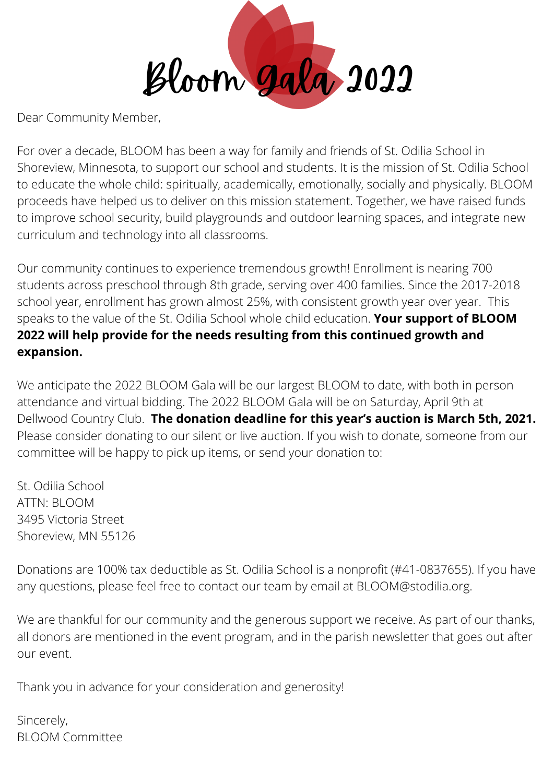Bloom Gala 2022

Dear Community Member,

For over a decade, BLOOM has been a way for family and friends of St. Odilia School in Shoreview, Minnesota, to support our school and students. It is the mission of St. Odilia School to educate the whole child: spiritually, academically, emotionally, socially and physically. BLOOM proceeds have helped us to deliver on this mission statement. Together, we have raised funds to improve school security, build playgrounds and outdoor learning spaces, and integrate new curriculum and technology into all classrooms.

Our community continues to experience tremendous growth! Enrollment is nearing 700 students across preschool through 8th grade, serving over 400 families. Since the 2017-2018 school year, enrollment has grown almost 25%, with consistent growth year over year. This speaks to the value of the St. Odilia School whole child education. **Your support of BLOOM 2022 will help provide for the needs resulting from this continued growth and expansion.**

We anticipate the 2022 BLOOM Gala will be our largest BLOOM to date, with both in person attendance and virtual bidding. The 2022 BLOOM Gala will be on Saturday, April 9th at Dellwood Country Club. **The donation deadline for this year's auction is March 5th, 2021.** Please consider donating to our silent or live auction. If you wish to donate, someone from our committee will be happy to pick up items, or send your donation to:

St. Odilia School ATTN: BLOOM 3495 Victoria Street Shoreview, MN 55126

Donations are 100% tax deductible as St. Odilia School is a nonprofit (#41-0837655). If you have any questions, please feel free to contact our team by email at BLOOM@stodilia.org.

We are thankful for our community and the generous support we receive. As part of our thanks, all donors are mentioned in the event program, and in the parish newsletter that goes out after our event.

Thank you in advance for your consideration and generosity!

Sincerely, BLOOM Committee